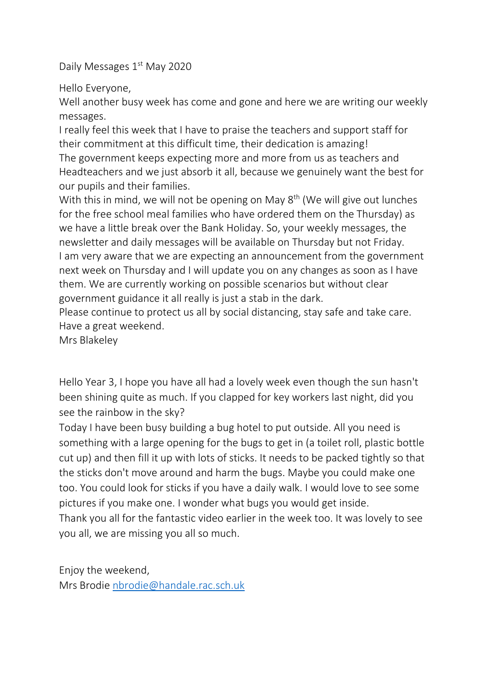Daily Messages 1<sup>st</sup> May 2020

Hello Everyone,

Well another busy week has come and gone and here we are writing our weekly messages.

I really feel this week that I have to praise the teachers and support staff for their commitment at this difficult time, their dedication is amazing! The government keeps expecting more and more from us as teachers and Headteachers and we just absorb it all, because we genuinely want the best for our pupils and their families.

With this in mind, we will not be opening on May 8<sup>th</sup> (We will give out lunches for the free school meal families who have ordered them on the Thursday) as we have a little break over the Bank Holiday. So, your weekly messages, the newsletter and daily messages will be available on Thursday but not Friday. I am very aware that we are expecting an announcement from the government next week on Thursday and I will update you on any changes as soon as I have them. We are currently working on possible scenarios but without clear government guidance it all really is just a stab in the dark.

Please continue to protect us all by social distancing, stay safe and take care. Have a great weekend.

Mrs Blakeley

Hello Year 3, I hope you have all had a lovely week even though the sun hasn't been shining quite as much. If you clapped for key workers last night, did you see the rainbow in the sky?

Today I have been busy building a bug hotel to put outside. All you need is something with a large opening for the bugs to get in (a toilet roll, plastic bottle cut up) and then fill it up with lots of sticks. It needs to be packed tightly so that the sticks don't move around and harm the bugs. Maybe you could make one too. You could look for sticks if you have a daily walk. I would love to see some pictures if you make one. I wonder what bugs you would get inside. Thank you all for the fantastic video earlier in the week too. It was lovely to see

you all, we are missing you all so much.

Enjoy the weekend, Mrs Brodie [nbrodie@handale.rac.sch.uk](mailto:nbrodie@handale.rac.sch.uk)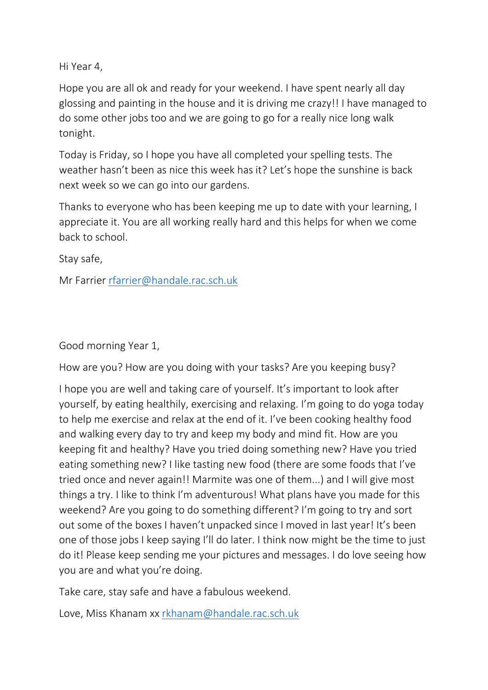Hi Year 4,

Hope you are all ok and ready for your weekend. I have spent nearly all day glossing and painting in the house and it is driving me crazy!! I have managed to do some other jobs too and we are going to go for a really nice long walk tonight.

Today is Friday, so I hope you have all completed your spelling tests. The weather hasn't been as nice this week has it? Let's hope the sunshine is back next week so we can go into our gardens.

Thanks to everyone who has been keeping me up to date with your learning, I appreciate it. You are all working really hard and this helps for when we come back to school.

Stay safe,

Mr Farrier [rfarrier@handale.rac.sch.uk](mailto:rfarrier@handale.rac.sch.uk)

Good morning Year 1,

How are you? How are you doing with your tasks? Are you keeping busy?

I hope you are well and taking care of yourself. It's important to look after yourself, by eating healthily, exercising and relaxing. I'm going to do yoga today to help me exercise and relax at the end of it. I've been cooking healthy food and walking every day to try and keep my body and mind fit. How are you keeping fit and healthy? Have you tried doing something new? Have you tried eating something new? I like tasting new food (there are some foods that I've tried once and never again!! Marmite was one of them...) and I will give most things a try. I like to think I'm adventurous! What plans have you made for this weekend? Are you going to do something different? I'm going to try and sort out some of the boxes I haven't unpacked since I moved in last year! It's been one of those jobs I keep saying I'll do later. I think now might be the time to just do it! Please keep sending me your pictures and messages. I do love seeing how you are and what you're doing.

Take care, stay safe and have a fabulous weekend.

Love, Miss Khanam xx [rkhanam@handale.rac.sch.uk](mailto:rkhanam@handale.rac.sch.uk)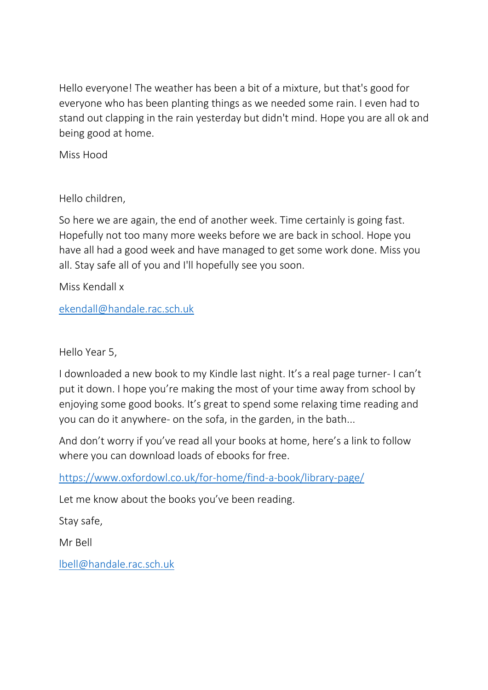Hello everyone! The weather has been a bit of a mixture, but that's good for everyone who has been planting things as we needed some rain. I even had to stand out clapping in the rain yesterday but didn't mind. Hope you are all ok and being good at home.

Miss Hood

Hello children,

So here we are again, the end of another week. Time certainly is going fast. Hopefully not too many more weeks before we are back in school. Hope you have all had a good week and have managed to get some work done. Miss you all. Stay safe all of you and I'll hopefully see you soon.

Miss Kendall x

[ekendall@handale.rac.sch.uk](mailto:ekendall@handale.rac.sch.uk)

Hello Year 5,

I downloaded a new book to my Kindle last night. It's a real page turner- I can't put it down. I hope you're making the most of your time away from school by enjoying some good books. It's great to spend some relaxing time reading and you can do it anywhere- on the sofa, in the garden, in the bath...

And don't worry if you've read all your books at home, here's a link to follow where you can download loads of ebooks for free.

<https://www.oxfordowl.co.uk/for-home/find-a-book/library-page/>

Let me know about the books you've been reading.

Stay safe,

Mr Bell

[lbell@handale.rac.sch.uk](mailto:lbell@handale.rac.sch.uk)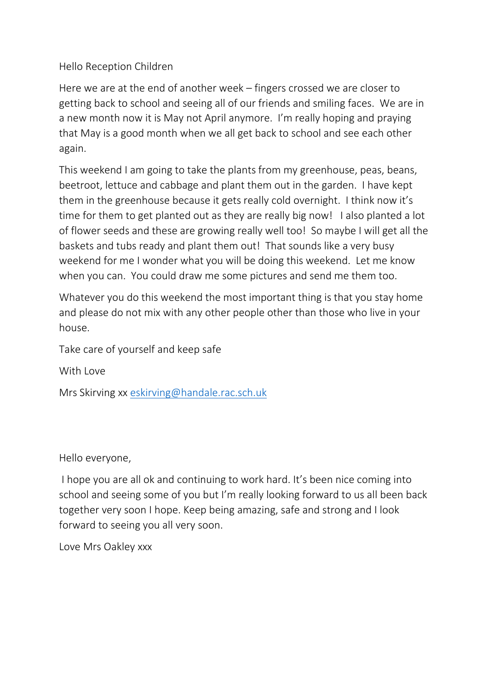Hello Reception Children

Here we are at the end of another week – fingers crossed we are closer to getting back to school and seeing all of our friends and smiling faces. We are in a new month now it is May not April anymore. I'm really hoping and praying that May is a good month when we all get back to school and see each other again.

This weekend I am going to take the plants from my greenhouse, peas, beans, beetroot, lettuce and cabbage and plant them out in the garden. I have kept them in the greenhouse because it gets really cold overnight. I think now it's time for them to get planted out as they are really big now! I also planted a lot of flower seeds and these are growing really well too! So maybe I will get all the baskets and tubs ready and plant them out! That sounds like a very busy weekend for me I wonder what you will be doing this weekend. Let me know when you can. You could draw me some pictures and send me them too.

Whatever you do this weekend the most important thing is that you stay home and please do not mix with any other people other than those who live in your house.

Take care of yourself and keep safe

With Love

Mrs Skirving xx [eskirving@handale.rac.sch.uk](mailto:eskirving@handale.rac.sch.uk)

Hello everyone,

I hope you are all ok and continuing to work hard. It's been nice coming into school and seeing some of you but I'm really looking forward to us all been back together very soon I hope. Keep being amazing, safe and strong and I look forward to seeing you all very soon.

Love Mrs Oakley xxx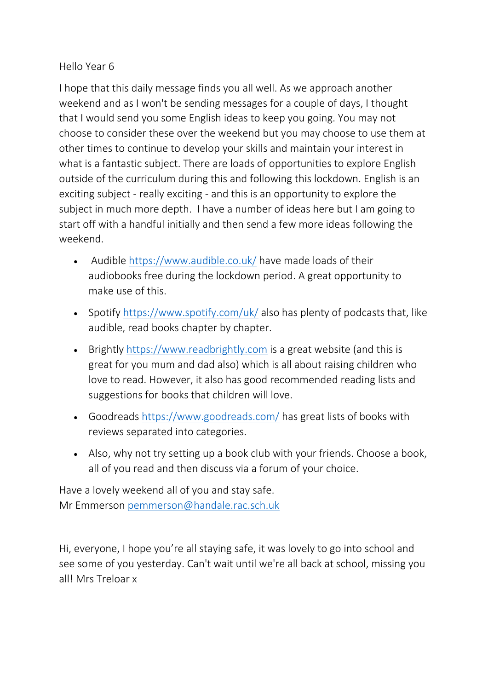# Hello Year 6

I hope that this daily message finds you all well. As we approach another weekend and as I won't be sending messages for a couple of days, I thought that I would send you some English ideas to keep you going. You may not choose to consider these over the weekend but you may choose to use them at other times to continue to develop your skills and maintain your interest in what is a fantastic subject. There are loads of opportunities to explore English outside of the curriculum during this and following this lockdown. English is an exciting subject - really exciting - and this is an opportunity to explore the subject in much more depth. I have a number of ideas here but I am going to start off with a handful initially and then send a few more ideas following the weekend.

- Audible <https://www.audible.co.uk/> have made loads of their audiobooks free during the lockdown period. A great opportunity to make use of this.
- Spotify <https://www.spotify.com/uk/> also has plenty of podcasts that, like audible, read books chapter by chapter.
- Brightly [https://www.readbrightly.com](https://www.readbrightly.com/) is a great website (and this is great for you mum and dad also) which is all about raising children who love to read. However, it also has good recommended reading lists and suggestions for books that children will love.
- Goodreads <https://www.goodreads.com/> has great lists of books with reviews separated into categories.
- Also, why not try setting up a book club with your friends. Choose a book, all of you read and then discuss via a forum of your choice.

Have a lovely weekend all of you and stay safe. Mr Emmerson [pemmerson@handale.rac.sch.uk](mailto:pemmerson@handale.rac.sch.uk)

Hi, everyone, I hope you're all staying safe, it was lovely to go into school and see some of you yesterday. Can't wait until we're all back at school, missing you all! Mrs Treloar x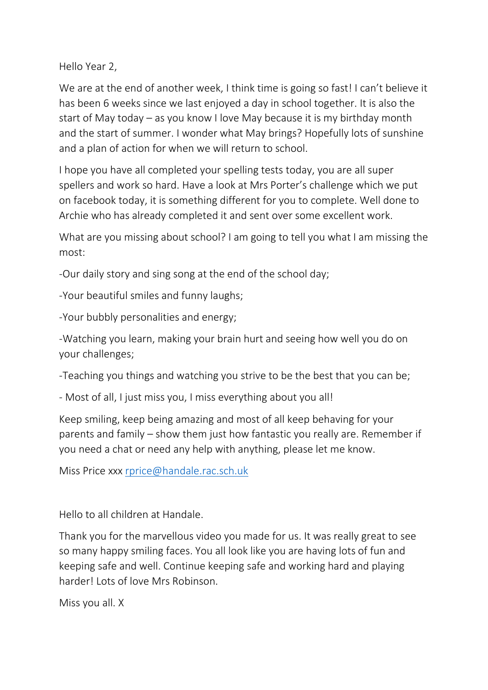Hello Year 2,

We are at the end of another week, I think time is going so fast! I can't believe it has been 6 weeks since we last enjoyed a day in school together. It is also the start of May today – as you know I love May because it is my birthday month and the start of summer. I wonder what May brings? Hopefully lots of sunshine and a plan of action for when we will return to school.

I hope you have all completed your spelling tests today, you are all super spellers and work so hard. Have a look at Mrs Porter's challenge which we put on facebook today, it is something different for you to complete. Well done to Archie who has already completed it and sent over some excellent work.

What are you missing about school? I am going to tell you what I am missing the most:

-Our daily story and sing song at the end of the school day;

-Your beautiful smiles and funny laughs;

-Your bubbly personalities and energy;

-Watching you learn, making your brain hurt and seeing how well you do on your challenges;

-Teaching you things and watching you strive to be the best that you can be;

- Most of all, I just miss you, I miss everything about you all!

Keep smiling, keep being amazing and most of all keep behaving for your parents and family – show them just how fantastic you really are. Remember if you need a chat or need any help with anything, please let me know.

Miss Price xxx [rprice@handale.rac.sch.uk](mailto:rprice@handale.rac.sch.uk)

Hello to all children at Handale.

Thank you for the marvellous video you made for us. It was really great to see so many happy smiling faces. You all look like you are having lots of fun and keeping safe and well. Continue keeping safe and working hard and playing harder! Lots of love Mrs Robinson.

Miss you all. X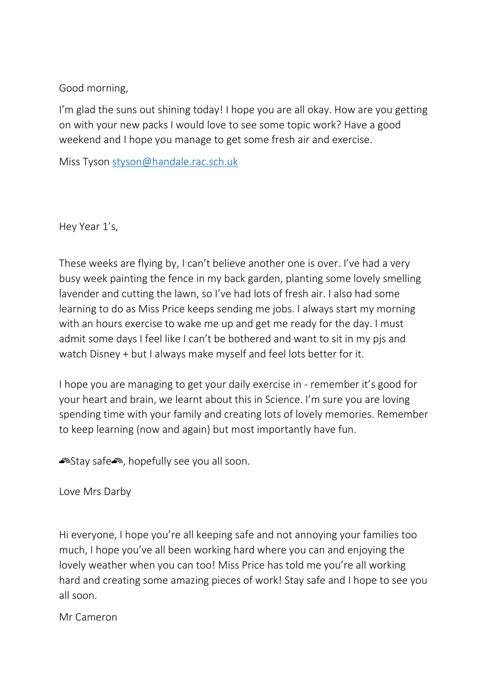Good morning,

I'm glad the suns out shining today! I hope you are all okay. How are you getting on with your new packs I would love to see some topic work? Have a good weekend and I hope you manage to get some fresh air and exercise.

Miss Tyson [styson@handale.rac.sch.uk](mailto:styson@handale.rac.sch.uk)

Hey Year 1's,

These weeks are flying by, I can't believe another one is over. I've had a very busy week painting the fence in my back garden, planting some lovely smelling lavender and cutting the lawn, so I've had lots of fresh air. I also had some learning to do as Miss Price keeps sending me jobs. I always start my morning with an hours exercise to wake me up and get me ready for the day. I must admit some days I feel like I can't be bothered and want to sit in my pjs and watch Disney + but I always make myself and feel lots better for it.

I hope you are managing to get your daily exercise in - remember it's good for your heart and brain, we learnt about this in Science. I'm sure you are loving spending time with your family and creating lots of lovely memories. Remember to keep learning (now and again) but most importantly have fun.

stay safe, hopefully see you all soon.

Love Mrs Darby

Hi everyone, I hope you're all keeping safe and not annoying your families too much, I hope you've all been working hard where you can and enjoying the lovely weather when you can too! Miss Price has told me you're all working hard and creating some amazing pieces of work! Stay safe and I hope to see you all soon.

Mr Cameron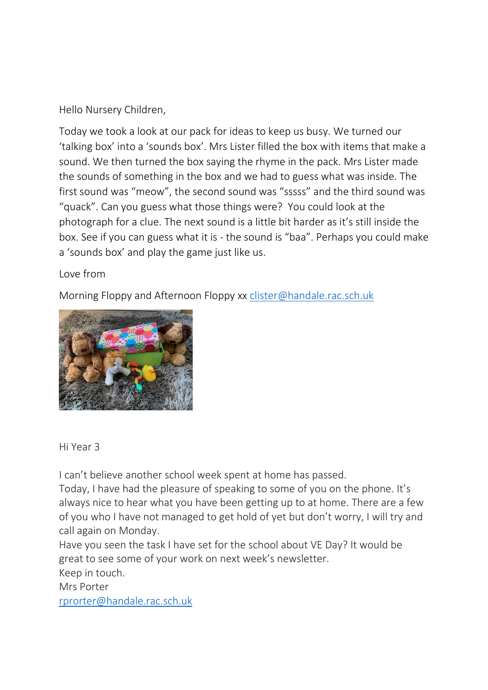# Hello Nursery Children,

Today we took a look at our pack for ideas to keep us busy. We turned our 'talking box' into a 'sounds box'. Mrs Lister filled the box with items that make a sound. We then turned the box saying the rhyme in the pack. Mrs Lister made the sounds of something in the box and we had to guess what was inside. The first sound was "meow", the second sound was "sssss" and the third sound was "quack". Can you guess what those things were? You could look at the photograph for a clue. The next sound is a little bit harder as it's still inside the box. See if you can guess what it is - the sound is "baa". Perhaps you could make a 'sounds box' and play the game just like us.

## Love from

Morning Floppy and Afternoon Floppy xx [clister@handale.rac.sch.uk](mailto:clister@handale.rac.sch.uk)



### Hi Year 3

I can't believe another school week spent at home has passed.

Today, I have had the pleasure of speaking to some of you on the phone. It's always nice to hear what you have been getting up to at home. There are a few of you who I have not managed to get hold of yet but don't worry, I will try and call again on Monday.

Have you seen the task I have set for the school about VE Day? It would be great to see some of your work on next week's newsletter.

Keep in touch.

Mrs Porter

[rprorter@handale.rac.sch.uk](mailto:rprorter@handale.rac.sch.uk)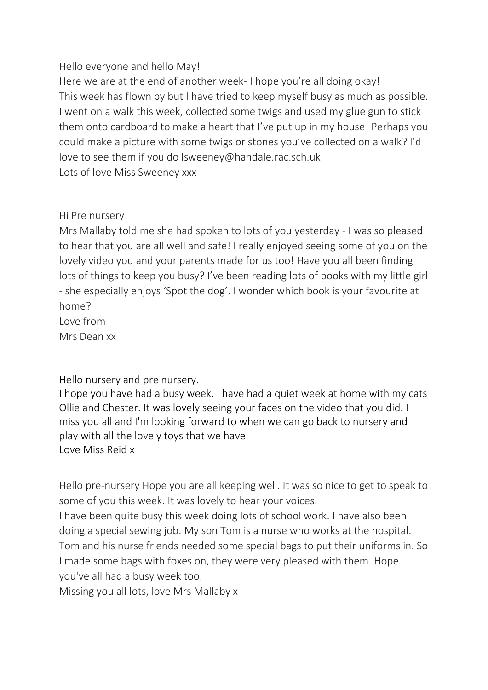## Hello everyone and hello May!

Here we are at the end of another week- I hope you're all doing okay! This week has flown by but I have tried to keep myself busy as much as possible. I went on a walk this week, collected some twigs and used my glue gun to stick them onto cardboard to make a heart that I've put up in my house! Perhaps you could make a picture with some twigs or stones you've collected on a walk? I'd love to see them if you do lsweeney@handale.rac.sch.uk Lots of love Miss Sweeney xxx

### Hi Pre nursery

Mrs Mallaby told me she had spoken to lots of you yesterday - I was so pleased to hear that you are all well and safe! I really enjoyed seeing some of you on the lovely video you and your parents made for us too! Have you all been finding lots of things to keep you busy? I've been reading lots of books with my little girl - she especially enjoys 'Spot the dog'. I wonder which book is your favourite at home?

Love from Mrs Dean xx

Hello nursery and pre nursery.

I hope you have had a busy week. I have had a quiet week at home with my cats Ollie and Chester. It was lovely seeing your faces on the video that you did. I miss you all and I'm looking forward to when we can go back to nursery and play with all the lovely toys that we have. Love Miss Reid x

Hello pre-nursery Hope you are all keeping well. It was so nice to get to speak to some of you this week. It was lovely to hear your voices.

I have been quite busy this week doing lots of school work. I have also been doing a special sewing job. My son Tom is a nurse who works at the hospital. Tom and his nurse friends needed some special bags to put their uniforms in. So I made some bags with foxes on, they were very pleased with them. Hope you've all had a busy week too.

Missing you all lots, love Mrs Mallaby x